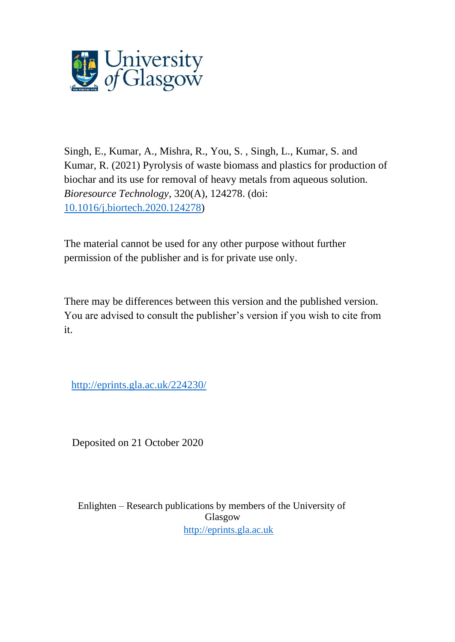

Singh, E., Kumar, A., Mishra, R., You, S. , Singh, L., Kumar, S. and Kumar, R. (2021) Pyrolysis of waste biomass and plastics for production of biochar and its use for removal of heavy metals from aqueous solution. *Bioresource Technology*, 320(A), 124278. (doi: [10.1016/j.biortech.2020.124278\)](http://dx.doi.org/10.1016/j.biortech.2020.124278)

The material cannot be used for any other purpose without further permission of the publisher and is for private use only.

There may be differences between this version and the published version. You are advised to consult the publisher's version if you wish to cite from it.

<http://eprints.gla.ac.uk/224230/>

Deposited on 21 October 2020

Enlighten – Research publications by members of the University of Glasgow [http://eprints.gla.ac.uk](http://eprints.gla.ac.uk/)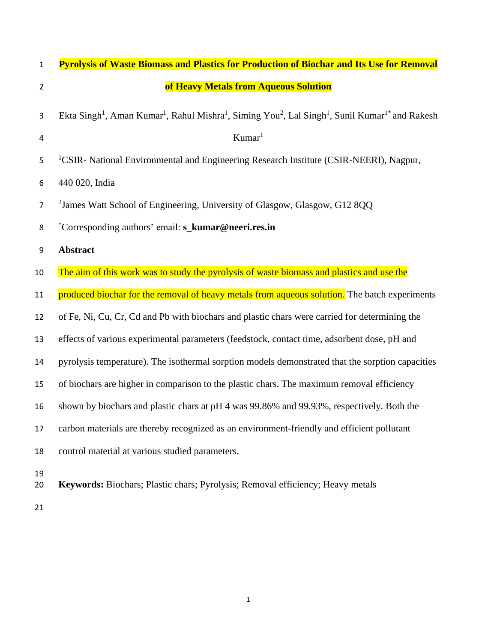| $\mathbf 1$      | <b>Pyrolysis of Waste Biomass and Plastics for Production of Biochar and Its Use for Removal</b>                                                                        |
|------------------|-------------------------------------------------------------------------------------------------------------------------------------------------------------------------|
| $\overline{2}$   | of Heavy Metals from Aqueous Solution                                                                                                                                   |
| 3                | Ekta Singh <sup>1</sup> , Aman Kumar <sup>1</sup> , Rahul Mishra <sup>1</sup> , Siming You <sup>2</sup> , Lal Singh <sup>1</sup> , Sunil Kumar <sup>1*</sup> and Rakesh |
| 4                | Kumar <sup>1</sup>                                                                                                                                                      |
| 5                | <sup>1</sup> CSIR- National Environmental and Engineering Research Institute (CSIR-NEERI), Nagpur,                                                                      |
| 6                | 440 020, India                                                                                                                                                          |
| $\overline{7}$   | <sup>2</sup> James Watt School of Engineering, University of Glasgow, Glasgow, G12 8QQ                                                                                  |
| 8                | *Corresponding authors' email: s_kumar@neeri.res.in                                                                                                                     |
| $\boldsymbol{9}$ | <b>Abstract</b>                                                                                                                                                         |
| 10               | The aim of this work was to study the pyrolysis of waste biomass and plastics and use the                                                                               |
| 11               | produced biochar for the removal of heavy metals from aqueous solution. The batch experiments                                                                           |
| 12               | of Fe, Ni, Cu, Cr, Cd and Pb with biochars and plastic chars were carried for determining the                                                                           |
| 13               | effects of various experimental parameters (feedstock, contact time, adsorbent dose, pH and                                                                             |
| 14               | pyrolysis temperature). The isothermal sorption models demonstrated that the sorption capacities                                                                        |
| 15               | of biochars are higher in comparison to the plastic chars. The maximum removal efficiency                                                                               |
| 16               | shown by biochars and plastic chars at pH 4 was 99.86% and 99.93%, respectively. Both the                                                                               |
| 17               | carbon materials are thereby recognized as an environment-friendly and efficient pollutant                                                                              |
| 18               | control material at various studied parameters.                                                                                                                         |
| 19<br>20         | Keywords: Biochars; Plastic chars; Pyrolysis; Removal efficiency; Heavy metals                                                                                          |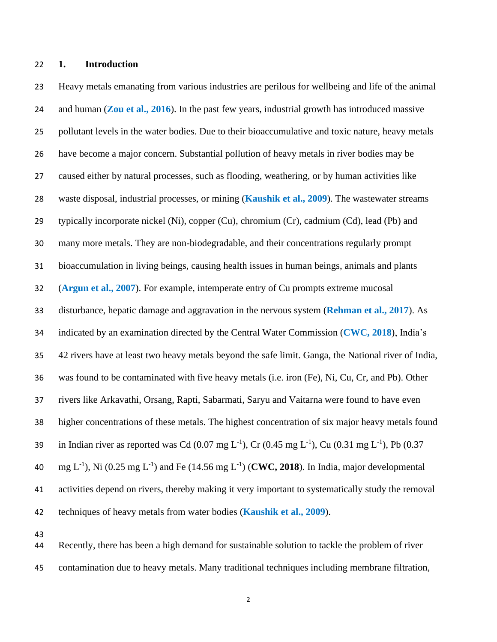**1. Introduction**

 Heavy metals emanating from various industries are perilous for wellbeing and life of the animal and human (**Zou et al., 2016**). In the past few years, industrial growth has introduced massive pollutant levels in the water bodies. Due to their bioaccumulative and toxic nature, heavy metals have become a major concern. Substantial pollution of heavy metals in river bodies may be caused either by natural processes, such as flooding, weathering, or by human activities like waste disposal, industrial processes, or mining (**Kaushik et al., 2009**). The wastewater streams typically incorporate nickel (Ni), copper (Cu), chromium (Cr), cadmium (Cd), lead (Pb) and many more metals. They are non-biodegradable, and their concentrations regularly prompt bioaccumulation in living beings, causing health issues in human beings, animals and plants (**Argun et al., 2007**). For example, intemperate entry of Cu prompts extreme mucosal disturbance, hepatic damage and aggravation in the nervous system (**Rehman et al., 2017**). As indicated by an examination directed by the Central Water Commission (**CWC, 2018**), India's 42 rivers have at least two heavy metals beyond the safe limit. Ganga, the National river of India, was found to be contaminated with five heavy metals (i.e. iron (Fe), Ni, Cu, Cr, and Pb). Other rivers like Arkavathi, Orsang, Rapti, Sabarmati, Saryu and Vaitarna were found to have even higher concentrations of these metals. The highest concentration of six major heavy metals found 39 in Indian river as reported was Cd (0.07 mg L<sup>-1</sup>), Cr (0.45 mg L<sup>-1</sup>), Cu (0.31 mg L<sup>-1</sup>), Pb (0.37 40 mg L<sup>-1</sup>), Ni (0.25 mg L<sup>-1</sup>) and Fe (14.56 mg L<sup>-1</sup>) (**CWC, 2018**). In India, major developmental activities depend on rivers, thereby making it very important to systematically study the removal techniques of heavy metals from water bodies (**Kaushik et al., 2009**).

 Recently, there has been a high demand for sustainable solution to tackle the problem of river contamination due to heavy metals. Many traditional techniques including membrane filtration,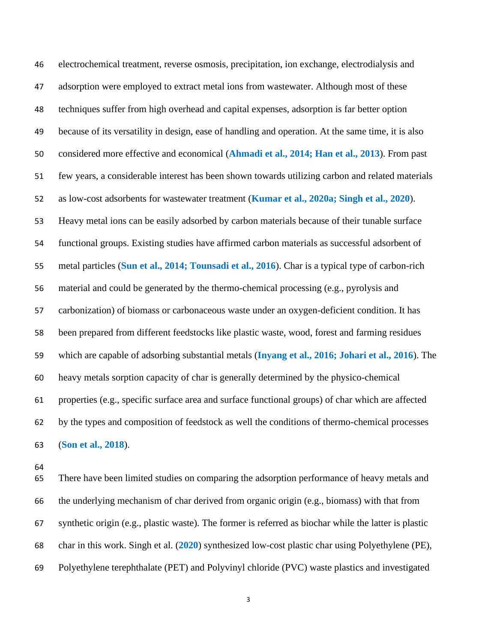electrochemical treatment, reverse osmosis, precipitation, ion exchange, electrodialysis and adsorption were employed to extract metal ions from wastewater. Although most of these techniques suffer from high overhead and capital expenses, adsorption is far better option because of its versatility in design, ease of handling and operation. At the same time, it is also considered more effective and economical (**Ahmadi et al., 2014; Han et al., 2013**). From past few years, a considerable interest has been shown towards utilizing carbon and related materials as low-cost adsorbents for wastewater treatment (**Kumar et al., 2020a; Singh et al., 2020**). Heavy metal ions can be easily adsorbed by carbon materials because of their tunable surface functional groups. Existing studies have affirmed carbon materials as successful adsorbent of metal particles (**Sun et al., 2014; Tounsadi et al., 2016**). Char is a typical type of carbon-rich material and could be generated by the thermo-chemical processing (e.g., pyrolysis and carbonization) of biomass or carbonaceous waste under an oxygen-deficient condition. It has been prepared from different feedstocks like plastic waste, wood, forest and farming residues which are capable of adsorbing substantial metals (**Inyang et al., 2016; Johari et al., 2016**). The heavy metals sorption capacity of char is generally determined by the physico-chemical properties (e.g., specific surface area and surface functional groups) of char which are affected by the types and composition of feedstock as well the conditions of thermo-chemical processes (**Son et al., 2018**).

 There have been limited studies on comparing the adsorption performance of heavy metals and the underlying mechanism of char derived from organic origin (e.g., biomass) with that from synthetic origin (e.g., plastic waste). The former is referred as biochar while the latter is plastic char in this work. Singh et al. (**2020**) synthesized low-cost plastic char using Polyethylene (PE), Polyethylene terephthalate (PET) and Polyvinyl chloride (PVC) waste plastics and investigated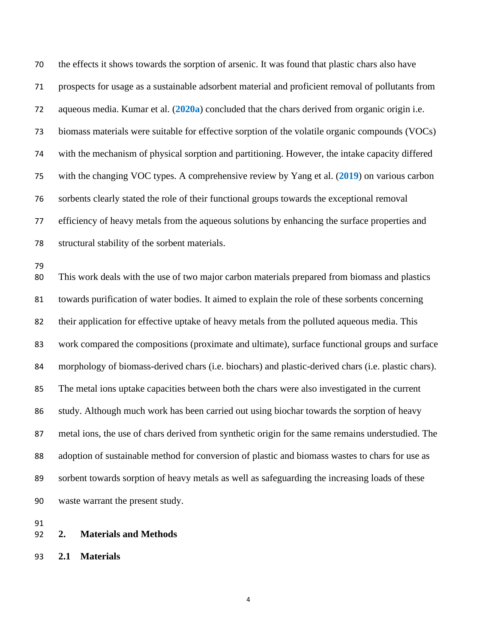the effects it shows towards the sorption of arsenic. It was found that plastic chars also have prospects for usage as a sustainable adsorbent material and proficient removal of pollutants from aqueous media. Kumar et al. (**2020a**) concluded that the chars derived from organic origin i.e. biomass materials were suitable for effective sorption of the volatile organic compounds (VOCs) with the mechanism of physical sorption and partitioning. However, the intake capacity differed with the changing VOC types. A comprehensive review by Yang et al. (**2019**) on various carbon sorbents clearly stated the role of their functional groups towards the exceptional removal efficiency of heavy metals from the aqueous solutions by enhancing the surface properties and structural stability of the sorbent materials. This work deals with the use of two major carbon materials prepared from biomass and plastics towards purification of water bodies. It aimed to explain the role of these sorbents concerning their application for effective uptake of heavy metals from the polluted aqueous media. This work compared the compositions (proximate and ultimate), surface functional groups and surface morphology of biomass-derived chars (i.e. biochars) and plastic-derived chars (i.e. plastic chars).

 The metal ions uptake capacities between both the chars were also investigated in the current study. Although much work has been carried out using biochar towards the sorption of heavy metal ions, the use of chars derived from synthetic origin for the same remains understudied. The adoption of sustainable method for conversion of plastic and biomass wastes to chars for use as sorbent towards sorption of heavy metals as well as safeguarding the increasing loads of these waste warrant the present study.

- **2. Materials and Methods**
- **2.1 Materials**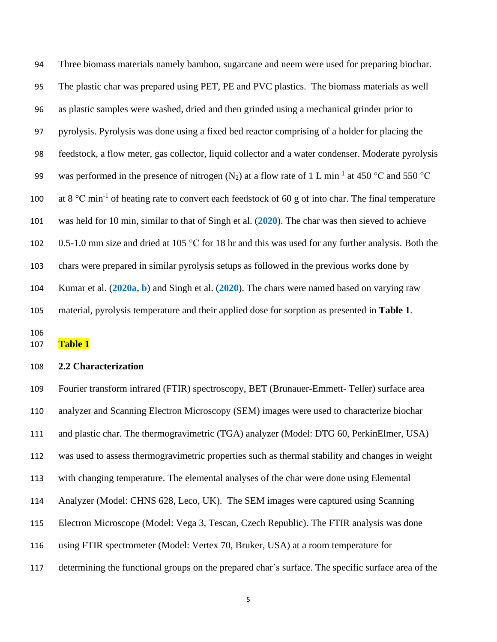Three biomass materials namely bamboo, sugarcane and neem were used for preparing biochar. The plastic char was prepared using PET, PE and PVC plastics. The biomass materials as well as plastic samples were washed, dried and then grinded using a mechanical grinder prior to pyrolysis. Pyrolysis was done using a fixed bed reactor comprising of a holder for placing the feedstock, a flow meter, gas collector, liquid collector and a water condenser. Moderate pyrolysis 99 was performed in the presence of nitrogen (N<sub>2</sub>) at a flow rate of 1 L min<sup>-1</sup> at 450 °C and 550 °C 100 at 8 °C min<sup>-1</sup> of heating rate to convert each feedstock of 60 g of into char. The final temperature was held for 10 min, similar to that of Singh et al. (**2020**). The char was then sieved to achieve 102 0.5-1.0 mm size and dried at 105 °C for 18 hr and this was used for any further analysis. Both the chars were prepared in similar pyrolysis setups as followed in the previous works done by Kumar et al. (**2020a, b**) and Singh et al. (**2020**). The chars were named based on varying raw material, pyrolysis temperature and their applied dose for sorption as presented in **Table 1**.

**Table 1**

## **2.2 Characterization**

 Fourier transform infrared (FTIR) spectroscopy, BET (Brunauer-Emmett- Teller) surface area analyzer and Scanning Electron Microscopy (SEM) images were used to characterize biochar and plastic char. The thermogravimetric (TGA) analyzer (Model: DTG 60, PerkinElmer, USA) was used to assess thermogravimetric properties such as thermal stability and changes in weight with changing temperature. The elemental analyses of the char were done using Elemental Analyzer (Model: CHNS 628, Leco, UK). The SEM images were captured using Scanning Electron Microscope (Model: Vega 3, Tescan, Czech Republic). The FTIR analysis was done using FTIR spectrometer (Model: Vertex 70, Bruker, USA) at a room temperature for determining the functional groups on the prepared char's surface. The specific surface area of the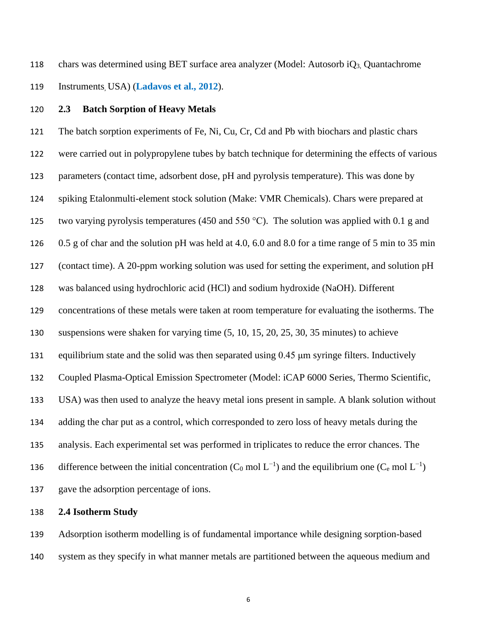chars was determined using BET surface area analyzer (Model: Autosorb iQ3, Quantachrome Instruments, USA) (**Ladavos et al., 2012**).

#### **2.3 Batch Sorption of Heavy Metals**

 The batch sorption experiments of Fe, Ni, Cu, Cr, Cd and Pb with biochars and plastic chars were carried out in polypropylene tubes by batch technique for determining the effects of various parameters (contact time, adsorbent dose, pH and pyrolysis temperature). This was done by spiking Etalonmulti-element stock solution (Make: VMR Chemicals). Chars were prepared at 125 two varying pyrolysis temperatures (450 and 550 °C). The solution was applied with 0.1 g and 0.5 g of char and the solution pH was held at 4.0, 6.0 and 8.0 for a time range of 5 min to 35 min (contact time). A 20-ppm working solution was used for setting the experiment, and solution pH was balanced using hydrochloric acid (HCl) and sodium hydroxide (NaOH). Different concentrations of these metals were taken at room temperature for evaluating the isotherms. The suspensions were shaken for varying time (5, 10, 15, 20, 25, 30, 35 minutes) to achieve equilibrium state and the solid was then separated using 0.45 μm syringe filters. Inductively Coupled Plasma-Optical Emission Spectrometer (Model: iCAP 6000 Series, Thermo Scientific, USA) was then used to analyze the heavy metal ions present in sample. A blank solution without adding the char put as a control, which corresponded to zero loss of heavy metals during the analysis. Each experimental set was performed in triplicates to reduce the error chances. The 136 difference between the initial concentration (C<sub>0</sub> mol L<sup>-1</sup>) and the equilibrium one (C<sub>e</sub> mol L<sup>-1</sup>) gave the adsorption percentage of ions.

### **2.4 Isotherm Study**

 Adsorption isotherm modelling is of fundamental importance while designing sorption-based system as they specify in what manner metals are partitioned between the aqueous medium and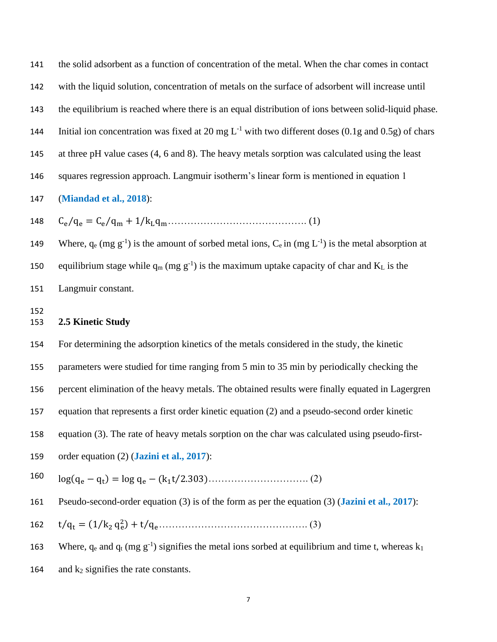the solid adsorbent as a function of concentration of the metal. When the char comes in contact

with the liquid solution, concentration of metals on the surface of adsorbent will increase until

the equilibrium is reached where there is an equal distribution of ions between solid-liquid phase.

144 Initial ion concentration was fixed at 20 mg  $L^{-1}$  with two different doses (0.1g and 0.5g) of chars

145 at three pH value cases (4, 6 and 8). The heavy metals sorption was calculated using the least

squares regression approach. Langmuir isotherm's linear form is mentioned in equation 1

# (**Miandad et al., 2018**):

Ce⁄q<sup>e</sup> = Ce⁄q<sup>m</sup> + 1/kLqm……………………………………. (1)

149 Where,  $q_e$  (mg  $g^{-1}$ ) is the amount of sorbed metal ions,  $C_e$  in (mg  $L^{-1}$ ) is the metal absorption at 150 equilibrium stage while  $q_m$  (mg g<sup>-1</sup>) is the maximum uptake capacity of char and K<sub>L</sub> is the Langmuir constant.

## **2.5 Kinetic Study**

For determining the adsorption kinetics of the metals considered in the study, the kinetic

parameters were studied for time ranging from 5 min to 35 min by periodically checking the

percent elimination of the heavy metals. The obtained results were finally equated in Lagergren

- equation that represents a first order kinetic equation (2) and a pseudo-second order kinetic
- equation (3). The rate of heavy metals sorption on the char was calculated using pseudo-first-
- order equation (2) (**Jazini et al., 2017**):
- log(q<sup>e</sup> − q<sup>t</sup> ) = log q<sup>e</sup> − (k1t⁄2.303)…………………………. (2)
- Pseudo-second-order equation (3) is of the form as per the equation (3) (**Jazini et al., 2017**):

t⁄q<sup>t</sup> = (1⁄k<sup>2</sup> q<sup>e</sup> 2 ) + t⁄qe………………………………………. (3)

163 Where,  $q_e$  and  $q_t$  (mg g<sup>-1</sup>) signifies the metal ions sorbed at equilibrium and time t, whereas  $k_1$ 

164 and  $k_2$  signifies the rate constants.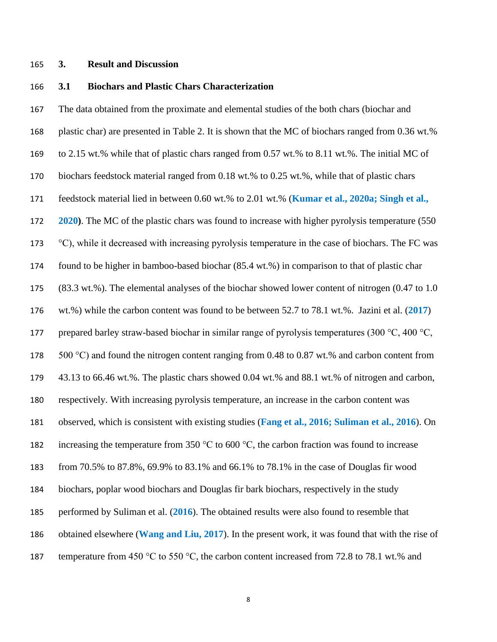### **3. Result and Discussion**

## **3.1 Biochars and Plastic Chars Characterization**

 The data obtained from the proximate and elemental studies of the both chars (biochar and plastic char) are presented in Table 2. It is shown that the MC of biochars ranged from 0.36 wt.% to 2.15 wt.% while that of plastic chars ranged from 0.57 wt.% to 8.11 wt.%. The initial MC of biochars feedstock material ranged from 0.18 wt.% to 0.25 wt.%, while that of plastic chars feedstock material lied in between 0.60 wt.% to 2.01 wt.% (**Kumar et al., 2020a; Singh et al., 2020)**. The MC of the plastic chars was found to increase with higher pyrolysis temperature (550 °C), while it decreased with increasing pyrolysis temperature in the case of biochars. The FC was found to be higher in bamboo-based biochar (85.4 wt.%) in comparison to that of plastic char (83.3 wt.%). The elemental analyses of the biochar showed lower content of nitrogen (0.47 to 1.0 wt.%) while the carbon content was found to be between 52.7 to 78.1 wt.%. Jazini et al. (**2017**) 177 prepared barley straw-based biochar in similar range of pyrolysis temperatures (300  $\degree$ C, 400  $\degree$ C,  $500 \degree C$ ) and found the nitrogen content ranging from 0.48 to 0.87 wt.% and carbon content from 43.13 to 66.46 wt.%. The plastic chars showed 0.04 wt.% and 88.1 wt.% of nitrogen and carbon, respectively. With increasing pyrolysis temperature, an increase in the carbon content was observed, which is consistent with existing studies (**Fang et al., 2016; Suliman et al., 2016**). On 182 increasing the temperature from 350  $\degree$ C to 600  $\degree$ C, the carbon fraction was found to increase from 70.5% to 87.8%, 69.9% to 83.1% and 66.1% to 78.1% in the case of Douglas fir wood biochars, poplar wood biochars and Douglas fir bark biochars, respectively in the study performed by Suliman et al. (**2016**). The obtained results were also found to resemble that obtained elsewhere (**Wang and Liu, 2017**). In the present work, it was found that with the rise of 187 temperature from 450 °C to 550 °C, the carbon content increased from 72.8 to 78.1 wt.% and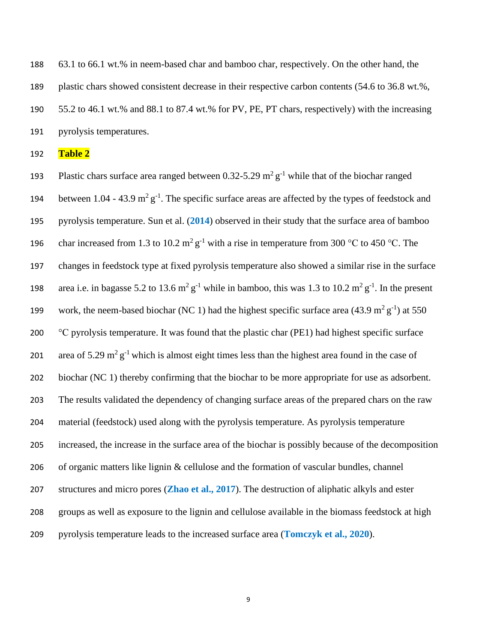63.1 to 66.1 wt.% in neem-based char and bamboo char, respectively. On the other hand, the plastic chars showed consistent decrease in their respective carbon contents (54.6 to 36.8 wt.%, 55.2 to 46.1 wt.% and 88.1 to 87.4 wt.% for PV, PE, PT chars, respectively) with the increasing pyrolysis temperatures.

**Table 2**

193 Plastic chars surface area ranged between  $0.32$ -5.29 m<sup>2</sup> g<sup>-1</sup> while that of the biochar ranged 194 between  $1.04 - 43.9$  m<sup>2</sup> g<sup>-1</sup>. The specific surface areas are affected by the types of feedstock and pyrolysis temperature. Sun et al. (**2014**) observed in their study that the surface area of bamboo 196 char increased from 1.3 to 10.2  $m^2 g^{-1}$  with a rise in temperature from 300 °C to 450 °C. The changes in feedstock type at fixed pyrolysis temperature also showed a similar rise in the surface 198 area i.e. in bagasse 5.2 to 13.6  $m^2 g^{-1}$  while in bamboo, this was 1.3 to 10.2  $m^2 g^{-1}$ . In the present 199 work, the neem-based biochar (NC 1) had the highest specific surface area (43.9 m<sup>2</sup> g<sup>-1</sup>) at 550  $\degree$ C pyrolysis temperature. It was found that the plastic char (PE1) had highest specific surface 201 area of 5.29 m<sup>2</sup> g<sup>-1</sup> which is almost eight times less than the highest area found in the case of biochar (NC 1) thereby confirming that the biochar to be more appropriate for use as adsorbent. The results validated the dependency of changing surface areas of the prepared chars on the raw material (feedstock) used along with the pyrolysis temperature. As pyrolysis temperature increased, the increase in the surface area of the biochar is possibly because of the decomposition of organic matters like lignin & cellulose and the formation of vascular bundles, channel structures and micro pores (**Zhao et al., 2017**). The destruction of aliphatic alkyls and ester groups as well as exposure to the lignin and cellulose available in the biomass feedstock at high pyrolysis temperature leads to the increased surface area (**Tomczyk et al., 2020**).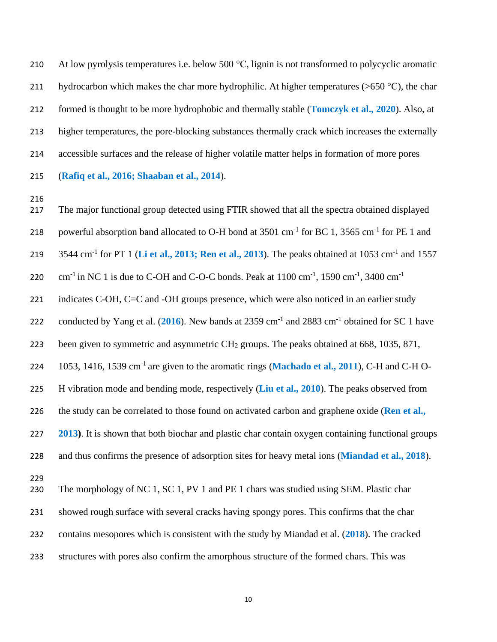210 At low pyrolysis temperatures i.e. below 500 °C, lignin is not transformed to polycyclic aromatic 211 hydrocarbon which makes the char more hydrophilic. At higher temperatures ( $>650$  °C), the char formed is thought to be more hydrophobic and thermally stable (**Tomczyk et al., 2020**). Also, at higher temperatures, the pore-blocking substances thermally crack which increases the externally accessible surfaces and the release of higher volatile matter helps in formation of more pores (**Rafiq et al., 2016; Shaaban et al., 2014**).

 The major functional group detected using FTIR showed that all the spectra obtained displayed 218 powerful absorption band allocated to O-H bond at  $3501 \text{ cm}^{-1}$  for BC 1,  $3565 \text{ cm}^{-1}$  for PE 1 and 219 3544 cm<sup>-1</sup> for PT 1 (Li et al., 2013; Ren et al., 2013). The peaks obtained at 1053 cm<sup>-1</sup> and 1557 cm<sup>-1</sup> in NC 1 is due to C-OH and C-O-C bonds. Peak at  $1100 \text{ cm}^{-1}$ ,  $1590 \text{ cm}^{-1}$ ,  $3400 \text{ cm}^{-1}$  221 indicates C-OH, C=C and -OH groups presence, which were also noticed in an earlier study 222 conducted by Yang et al.  $(2016)$ . New bands at 2359 cm<sup>-1</sup> and 2883 cm<sup>-1</sup> obtained for SC 1 have 223 been given to symmetric and asymmetric  $CH<sub>2</sub>$  groups. The peaks obtained at 668, 1035, 871, 224 1053, 1416, 1539 cm<sup>-1</sup> are given to the aromatic rings (**Machado et al., 2011**), C-H and C-H O- H vibration mode and bending mode, respectively (**Liu et al., 2010**). The peaks observed from the study can be correlated to those found on activated carbon and graphene oxide (**Ren et al., 2013)**. It is shown that both biochar and plastic char contain oxygen containing functional groups and thus confirms the presence of adsorption sites for heavy metal ions (**Miandad et al., 2018**). The morphology of NC 1, SC 1, PV 1 and PE 1 chars was studied using SEM. Plastic char showed rough surface with several cracks having spongy pores. This confirms that the char contains mesopores which is consistent with the study by Miandad et al. (**2018**). The cracked structures with pores also confirm the amorphous structure of the formed chars. This was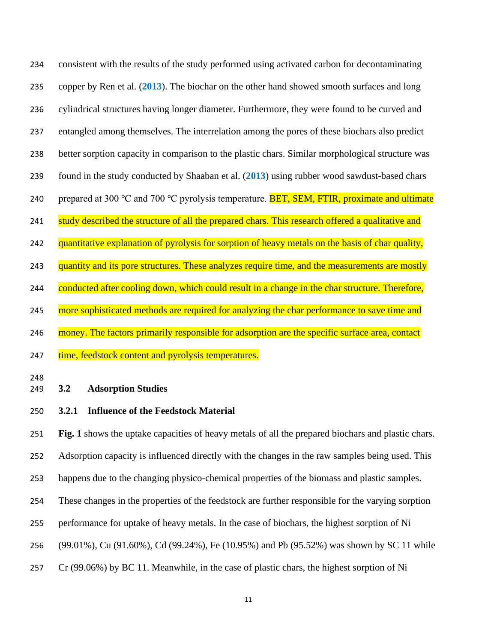consistent with the results of the study performed using activated carbon for decontaminating copper by Ren et al. (**2013**). The biochar on the other hand showed smooth surfaces and long cylindrical structures having longer diameter. Furthermore, they were found to be curved and entangled among themselves. The interrelation among the pores of these biochars also predict better sorption capacity in comparison to the plastic chars. Similar morphological structure was found in the study conducted by Shaaban et al. (**2013**) using rubber wood sawdust-based chars 240 prepared at 300 °C and 700 °C pyrolysis temperature. **BET, SEM, FTIR, proximate and ultimate** 241 study described the structure of all the prepared chars. This research offered a qualitative and 242 quantitative explanation of pyrolysis for sorption of heavy metals on the basis of char quality, 243 quantity and its pore structures. These analyzes require time, and the measurements are mostly 244 conducted after cooling down, which could result in a change in the char structure. Therefore, 245 more sophisticated methods are required for analyzing the char performance to save time and 246 money. The factors primarily responsible for adsorption are the specific surface area, contact 247 time, feedstock content and pyrolysis temperatures.

# **3.2 Adsorption Studies**

**3.2.1 Influence of the Feedstock Material**

 **Fig. 1** shows the uptake capacities of heavy metals of all the prepared biochars and plastic chars. Adsorption capacity is influenced directly with the changes in the raw samples being used. This happens due to the changing physico-chemical properties of the biomass and plastic samples. These changes in the properties of the feedstock are further responsible for the varying sorption performance for uptake of heavy metals. In the case of biochars, the highest sorption of Ni (99.01%), Cu (91.60%), Cd (99.24%), Fe (10.95%) and Pb (95.52%) was shown by SC 11 while Cr (99.06%) by BC 11. Meanwhile, in the case of plastic chars, the highest sorption of Ni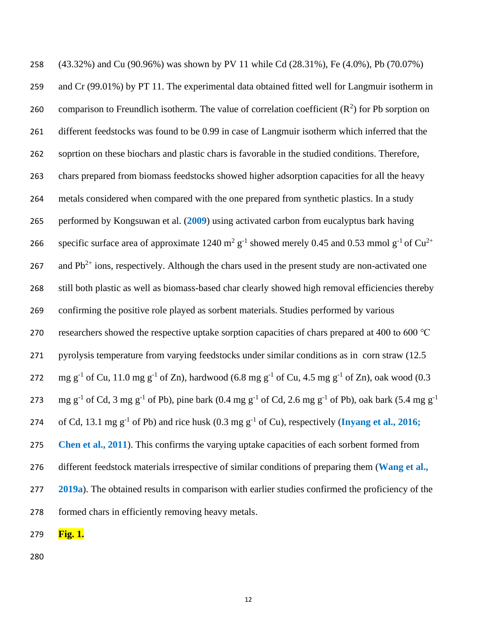(43.32%) and Cu (90.96%) was shown by PV 11 while Cd (28.31%), Fe (4.0%), Pb (70.07%) and Cr (99.01%) by PT 11. The experimental data obtained fitted well for Langmuir isotherm in 260 comparison to Freundlich isotherm. The value of correlation coefficient  $(R^2)$  for Pb sorption on different feedstocks was found to be 0.99 in case of Langmuir isotherm which inferred that the soprtion on these biochars and plastic chars is favorable in the studied conditions. Therefore, chars prepared from biomass feedstocks showed higher adsorption capacities for all the heavy metals considered when compared with the one prepared from synthetic plastics. In a study performed by Kongsuwan et al. (**2009**) using activated carbon from eucalyptus bark having 266 specific surface area of approximate 1240 m<sup>2</sup> g<sup>-1</sup> showed merely 0.45 and 0.53 mmol g<sup>-1</sup> of Cu<sup>2+</sup> 267 and  $Pb^{2+}$  ions, respectively. Although the chars used in the present study are non-activated one still both plastic as well as biomass-based char clearly showed high removal efficiencies thereby confirming the positive role played as sorbent materials. Studies performed by various researchers showed the respective uptake sorption capacities of chars prepared at 400 to 600 ℃ pyrolysis temperature from varying feedstocks under similar conditions as in corn straw (12.5 272 mg g<sup>-1</sup> of Cu, 11.0 mg g<sup>-1</sup> of Zn), hardwood (6.8 mg g<sup>-1</sup> of Cu, 4.5 mg g<sup>-1</sup> of Zn), oak wood (0.3 mg g<sup>-1</sup> of Cd, 3 mg g<sup>-1</sup> of Pb), pine bark (0.4 mg g<sup>-1</sup> of Cd, 2.6 mg g<sup>-1</sup> of Pb), oak bark (5.4 mg g<sup>-1</sup> 274 of Cd, 13.1 mg  $g^{-1}$  of Pb) and rice husk (0.3 mg  $g^{-1}$  of Cu), respectively (**Inyang** et al., 2016; **Chen et al., 2011**). This confirms the varying uptake capacities of each sorbent formed from different feedstock materials irrespective of similar conditions of preparing them (**Wang et al., 2019a**). The obtained results in comparison with earlier studies confirmed the proficiency of the formed chars in efficiently removing heavy metals.

**Fig. 1.**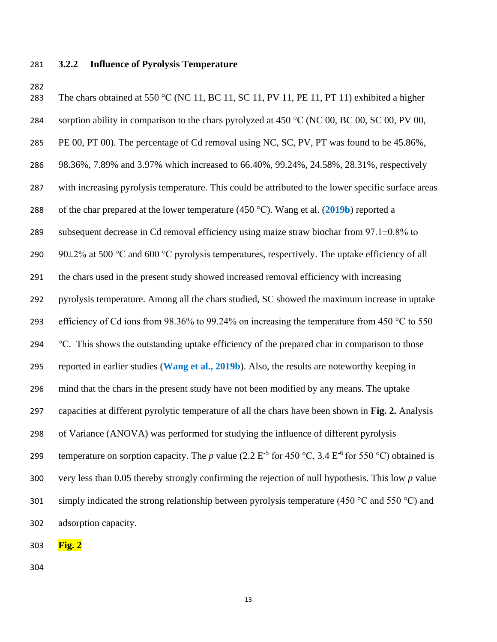## **3.2.2 Influence of Pyrolysis Temperature**

283 The chars obtained at 550 °C (NC 11, BC 11, SC 11, PV 11, PE 11, PT 11) exhibited a higher 284 sorption ability in comparison to the chars pyrolyzed at 450  $\degree$ C (NC 00, BC 00, SC 00, PV 00, 285 PE 00, PT 00). The percentage of Cd removal using NC, SC, PV, PT was found to be 45.86%, 98.36%, 7.89% and 3.97% which increased to 66.40%, 99.24%, 24.58%, 28.31%, respectively with increasing pyrolysis temperature. This could be attributed to the lower specific surface areas of the char prepared at the lower temperature (450 °C). Wang et al. (**2019b**) reported a 289 subsequent decrease in Cd removal efficiency using maize straw biochar from  $97.1\pm0.8\%$  to 290 90 $\pm$ 2% at 500 °C and 600 °C pyrolysis temperatures, respectively. The uptake efficiency of all the chars used in the present study showed increased removal efficiency with increasing pyrolysis temperature. Among all the chars studied, SC showed the maximum increase in uptake 293 efficiency of Cd ions from 98.36% to 99.24% on increasing the temperature from 450 °C to 550 294  $\degree$ C. This shows the outstanding uptake efficiency of the prepared char in comparison to those reported in earlier studies (**Wang et al., 2019b**). Also, the results are noteworthy keeping in mind that the chars in the present study have not been modified by any means. The uptake capacities at different pyrolytic temperature of all the chars have been shown in **Fig. 2.** Analysis of Variance (ANOVA) was performed for studying the influence of different pyrolysis 299 temperature on sorption capacity. The p value  $(2.2 \text{ E}^{-5} \text{ for } 450 \text{ °C}, 3.4 \text{ E}^{-6} \text{ for } 550 \text{ °C})$  obtained is very less than 0.05 thereby strongly confirming the rejection of null hypothesis. This low *p* value 301 simply indicated the strong relationship between pyrolysis temperature (450  $^{\circ}$ C and 550  $^{\circ}$ C) and adsorption capacity.

**Fig. 2**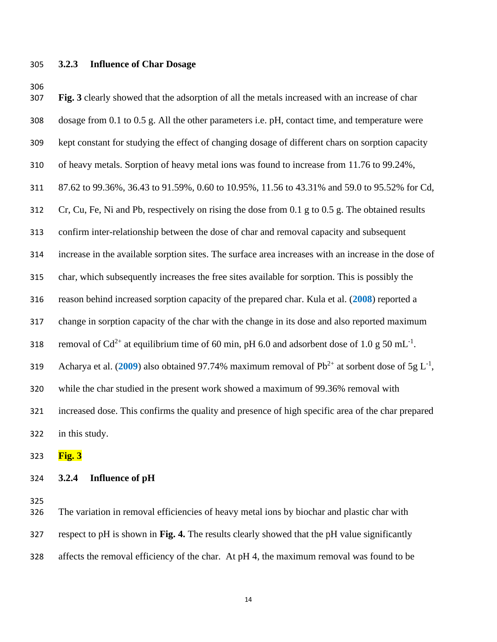#### **3.2.3 Influence of Char Dosage**

 kept constant for studying the effect of changing dosage of different chars on sorption capacity of heavy metals. Sorption of heavy metal ions was found to increase from 11.76 to 99.24%, 87.62 to 99.36%, 36.43 to 91.59%, 0.60 to 10.95%, 11.56 to 43.31% and 59.0 to 95.52% for Cd, Cr, Cu, Fe, Ni and Pb, respectively on rising the dose from 0.1 g to 0.5 g. The obtained results confirm inter-relationship between the dose of char and removal capacity and subsequent increase in the available sorption sites. The surface area increases with an increase in the dose of char, which subsequently increases the free sites available for sorption. This is possibly the reason behind increased sorption capacity of the prepared char. Kula et al. (**2008**) reported a change in sorption capacity of the char with the change in its dose and also reported maximum 318 removal of Cd<sup>2+</sup> at equilibrium time of 60 min, pH 6.0 and adsorbent dose of 1.0 g 50 mL<sup>-1</sup>.

**Fig. 3** clearly showed that the adsorption of all the metals increased with an increase of char

dosage from 0.1 to 0.5 g. All the other parameters i.e. pH, contact time, and temperature were

319 • Acharya et al. (2009) also obtained 97.74% maximum removal of  $Pb^{2+}$  at sorbent dose of 5g L<sup>-1</sup>,

while the char studied in the present work showed a maximum of 99.36% removal with

 increased dose. This confirms the quality and presence of high specific area of the char prepared in this study.

**Fig. 3**

# **3.2.4 Influence of pH**

 The variation in removal efficiencies of heavy metal ions by biochar and plastic char with respect to pH is shown in **Fig. 4.** The results clearly showed that the pH value significantly affects the removal efficiency of the char. At pH 4, the maximum removal was found to be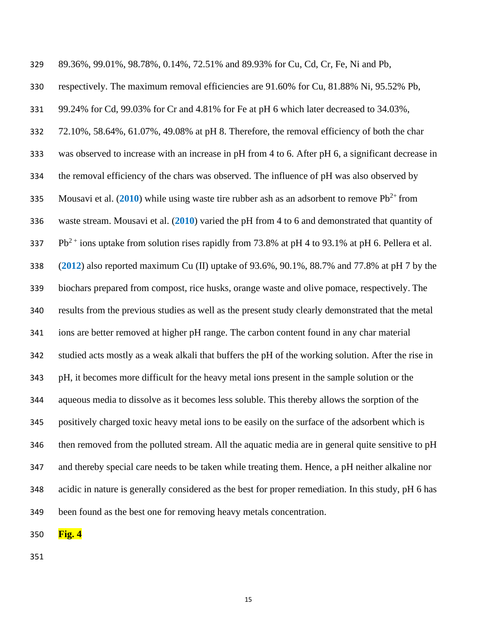| 329 | 89.36%, 99.01%, 98.78%, 0.14%, 72.51% and 89.93% for Cu, Cd, Cr, Fe, Ni and Pb,                       |
|-----|-------------------------------------------------------------------------------------------------------|
| 330 | respectively. The maximum removal efficiencies are 91.60% for Cu, 81.88% Ni, 95.52% Pb,               |
| 331 | 99.24% for Cd, 99.03% for Cr and 4.81% for Fe at pH 6 which later decreased to 34.03%,                |
| 332 | 72.10%, 58.64%, 61.07%, 49.08% at pH 8. Therefore, the removal efficiency of both the char            |
| 333 | was observed to increase with an increase in pH from 4 to 6. After pH 6, a significant decrease in    |
| 334 | the removal efficiency of the chars was observed. The influence of pH was also observed by            |
| 335 | Mousavi et al. (2010) while using waste tire rubber ash as an adsorbent to remove $Pb^{2+}$ from      |
| 336 | waste stream. Mousavi et al. $(2010)$ varied the pH from 4 to 6 and demonstrated that quantity of     |
| 337 | $Pb^{2+}$ ions uptake from solution rises rapidly from 73.8% at pH 4 to 93.1% at pH 6. Pellera et al. |
| 338 | $(2012)$ also reported maximum Cu (II) uptake of 93.6%, 90.1%, 88.7% and 77.8% at pH 7 by the         |
| 339 | biochars prepared from compost, rice husks, orange waste and olive pomace, respectively. The          |
| 340 | results from the previous studies as well as the present study clearly demonstrated that the metal    |
| 341 | ions are better removed at higher pH range. The carbon content found in any char material             |
| 342 | studied acts mostly as a weak alkali that buffers the pH of the working solution. After the rise in   |
| 343 | pH, it becomes more difficult for the heavy metal ions present in the sample solution or the          |
| 344 | aqueous media to dissolve as it becomes less soluble. This thereby allows the sorption of the         |
| 345 | positively charged toxic heavy metal ions to be easily on the surface of the adsorbent which is       |
| 346 | then removed from the polluted stream. All the aquatic media are in general quite sensitive to pH     |
| 347 | and thereby special care needs to be taken while treating them. Hence, a pH neither alkaline nor      |
| 348 | acidic in nature is generally considered as the best for proper remediation. In this study, pH 6 has  |
| 349 | been found as the best one for removing heavy metals concentration.                                   |

**Fig. 4**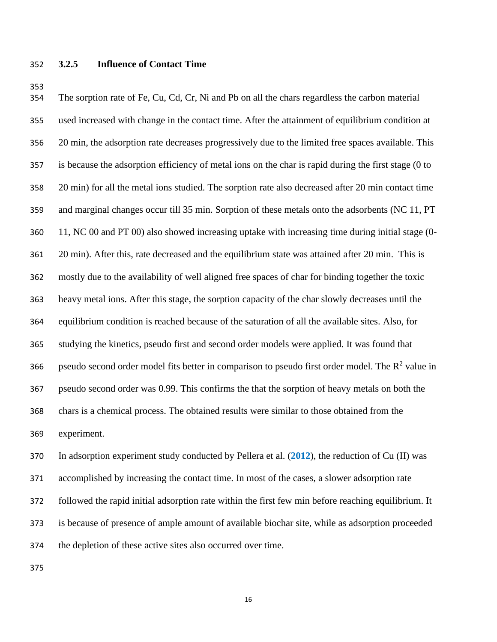# **3.2.5 Influence of Contact Time**

 The sorption rate of Fe, Cu, Cd, Cr, Ni and Pb on all the chars regardless the carbon material used increased with change in the contact time. After the attainment of equilibrium condition at 20 min, the adsorption rate decreases progressively due to the limited free spaces available. This is because the adsorption efficiency of metal ions on the char is rapid during the first stage (0 to 20 min) for all the metal ions studied. The sorption rate also decreased after 20 min contact time and marginal changes occur till 35 min. Sorption of these metals onto the adsorbents (NC 11, PT 11, NC 00 and PT 00) also showed increasing uptake with increasing time during initial stage (0- 20 min). After this, rate decreased and the equilibrium state was attained after 20 min. This is mostly due to the availability of well aligned free spaces of char for binding together the toxic heavy metal ions. After this stage, the sorption capacity of the char slowly decreases until the equilibrium condition is reached because of the saturation of all the available sites. Also, for studying the kinetics, pseudo first and second order models were applied. It was found that 366 pseudo second order model fits better in comparison to pseudo first order model. The  $R^2$  value in pseudo second order was 0.99. This confirms the that the sorption of heavy metals on both the chars is a chemical process. The obtained results were similar to those obtained from the experiment.

 In adsorption experiment study conducted by Pellera et al. (**2012**), the reduction of Cu (II) was accomplished by increasing the contact time. In most of the cases, a slower adsorption rate followed the rapid initial adsorption rate within the first few min before reaching equilibrium. It is because of presence of ample amount of available biochar site, while as adsorption proceeded the depletion of these active sites also occurred over time.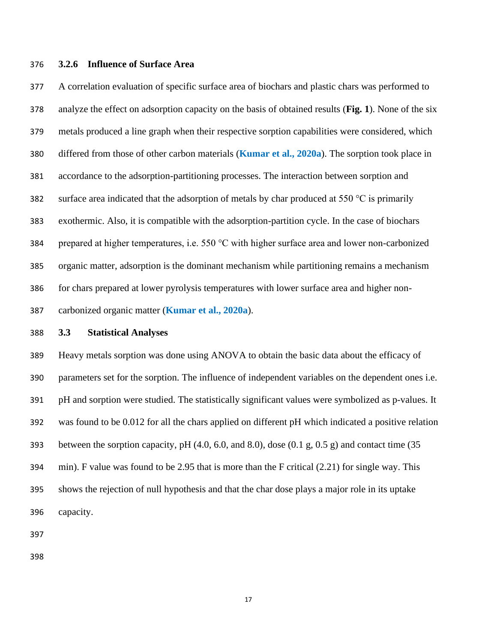### **3.2.6 Influence of Surface Area**

 A correlation evaluation of specific surface area of biochars and plastic chars was performed to analyze the effect on adsorption capacity on the basis of obtained results (**Fig. 1**). None of the six metals produced a line graph when their respective sorption capabilities were considered, which differed from those of other carbon materials (**Kumar et al., 2020a**). The sorption took place in accordance to the adsorption-partitioning processes. The interaction between sorption and 382 surface area indicated that the adsorption of metals by char produced at  $550^{\circ}$ C is primarily exothermic. Also, it is compatible with the adsorption-partition cycle. In the case of biochars prepared at higher temperatures, i.e. 550 °C with higher surface area and lower non-carbonized organic matter, adsorption is the dominant mechanism while partitioning remains a mechanism for chars prepared at lower pyrolysis temperatures with lower surface area and higher non-carbonized organic matter (**Kumar et al., 2020a**).

#### **3.3 Statistical Analyses**

 Heavy metals sorption was done using ANOVA to obtain the basic data about the efficacy of parameters set for the sorption. The influence of independent variables on the dependent ones i.e. pH and sorption were studied. The statistically significant values were symbolized as p-values. It was found to be 0.012 for all the chars applied on different pH which indicated a positive relation 393 between the sorption capacity, pH  $(4.0, 6.0,$  and  $(8.0),$  dose  $(0.1 \text{ g}, 0.5 \text{ g})$  and contact time  $(35 \text{ g})$  min). F value was found to be 2.95 that is more than the F critical (2.21) for single way. This shows the rejection of null hypothesis and that the char dose plays a major role in its uptake capacity.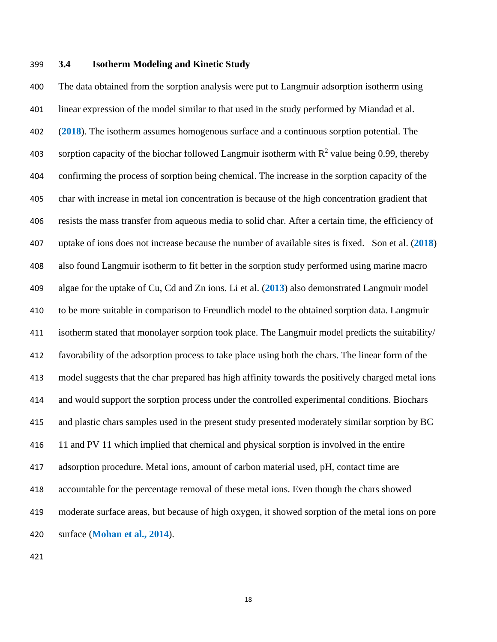### **3.4 Isotherm Modeling and Kinetic Study**

 The data obtained from the sorption analysis were put to Langmuir adsorption isotherm using linear expression of the model similar to that used in the study performed by Miandad et al. (**2018**). The isotherm assumes homogenous surface and a continuous sorption potential. The 403 sorption capacity of the biochar followed Langmuir isotherm with  $R^2$  value being 0.99, thereby confirming the process of sorption being chemical. The increase in the sorption capacity of the char with increase in metal ion concentration is because of the high concentration gradient that resists the mass transfer from aqueous media to solid char. After a certain time, the efficiency of uptake of ions does not increase because the number of available sites is fixed. Son et al. (**2018**) also found Langmuir isotherm to fit better in the sorption study performed using marine macro algae for the uptake of Cu, Cd and Zn ions. Li et al. (**2013**) also demonstrated Langmuir model to be more suitable in comparison to Freundlich model to the obtained sorption data. Langmuir isotherm stated that monolayer sorption took place. The Langmuir model predicts the suitability/ favorability of the adsorption process to take place using both the chars. The linear form of the model suggests that the char prepared has high affinity towards the positively charged metal ions and would support the sorption process under the controlled experimental conditions. Biochars and plastic chars samples used in the present study presented moderately similar sorption by BC 11 and PV 11 which implied that chemical and physical sorption is involved in the entire adsorption procedure. Metal ions, amount of carbon material used, pH, contact time are accountable for the percentage removal of these metal ions. Even though the chars showed moderate surface areas, but because of high oxygen, it showed sorption of the metal ions on pore surface (**Mohan et al., 2014**).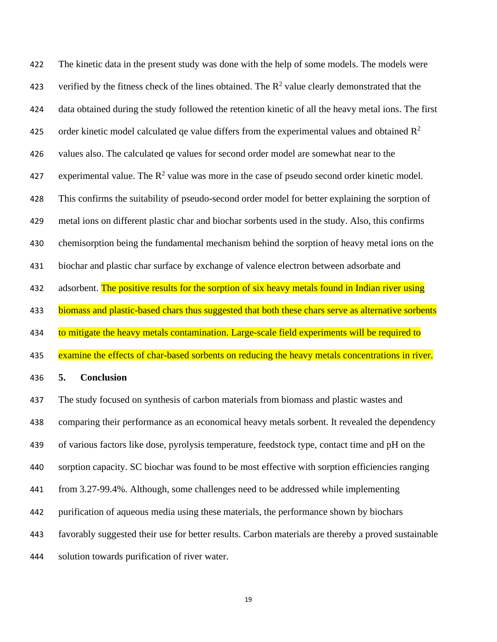The kinetic data in the present study was done with the help of some models. The models were 423 verified by the fitness check of the lines obtained. The  $R^2$  value clearly demonstrated that the data obtained during the study followed the retention kinetic of all the heavy metal ions. The first 425 order kinetic model calculated qe value differs from the experimental values and obtained  $\mathbb{R}^2$  values also. The calculated qe values for second order model are somewhat near to the 427 experimental value. The  $R^2$  value was more in the case of pseudo second order kinetic model. This confirms the suitability of pseudo-second order model for better explaining the sorption of metal ions on different plastic char and biochar sorbents used in the study. Also, this confirms chemisorption being the fundamental mechanism behind the sorption of heavy metal ions on the biochar and plastic char surface by exchange of valence electron between adsorbate and 432 adsorbent. The positive results for the sorption of six heavy metals found in Indian river using 433 biomass and plastic-based chars thus suggested that both these chars serve as alternative sorbents 434 to mitigate the heavy metals contamination. Large-scale field experiments will be required to 435 examine the effects of char-based sorbents on reducing the heavy metals concentrations in river. **5. Conclusion** The study focused on synthesis of carbon materials from biomass and plastic wastes and comparing their performance as an economical heavy metals sorbent. It revealed the dependency of various factors like dose, pyrolysis temperature, feedstock type, contact time and pH on the sorption capacity. SC biochar was found to be most effective with sorption efficiencies ranging

from 3.27-99.4%. Although, some challenges need to be addressed while implementing

- purification of aqueous media using these materials, the performance shown by biochars
- favorably suggested their use for better results. Carbon materials are thereby a proved sustainable
- solution towards purification of river water.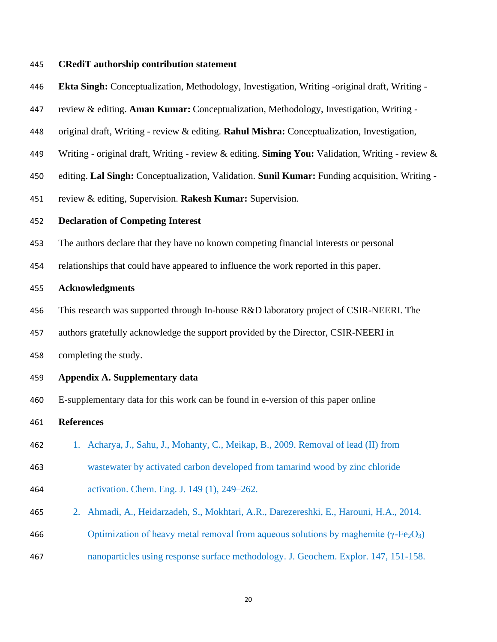## **CRediT authorship contribution statement**

- **Ekta Singh:** Conceptualization, Methodology, Investigation, Writing -original draft, Writing -
- review & editing. **Aman Kumar:** Conceptualization, Methodology, Investigation, Writing -
- original draft, Writing review & editing. **Rahul Mishra:** Conceptualization, Investigation,
- Writing original draft, Writing review & editing. **Siming You:** Validation, Writing review &
- editing. **Lal Singh:** Conceptualization, Validation. **Sunil Kumar:** Funding acquisition, Writing -
- review & editing, Supervision. **Rakesh Kumar:** Supervision.

### **Declaration of Competing Interest**

- The authors declare that they have no known competing financial interests or personal
- relationships that could have appeared to influence the work reported in this paper.

### **Acknowledgments**

- This research was supported through In-house R&D laboratory project of CSIR-NEERI. The
- authors gratefully acknowledge the support provided by the Director, CSIR-NEERI in

completing the study.

## **Appendix A. Supplementary data**

E-supplementary data for this work can be found in e-version of this paper online

### **References**

- 1. Acharya, J., Sahu, J., Mohanty, C., Meikap, B., 2009. Removal of lead (II) from
- wastewater by activated carbon developed from tamarind wood by zinc chloride activation. Chem. Eng. J. 149 (1), 249–262.
- 2. Ahmadi, A., Heidarzadeh, S., Mokhtari, A.R., Darezereshki, E., Harouni, H.A., 2014.
- 466 Optimization of heavy metal removal from aqueous solutions by maghemite ( $\gamma$ -Fe<sub>2</sub>O<sub>3</sub>)
- nanoparticles using response surface methodology. J. Geochem. Explor. 147, 151-158.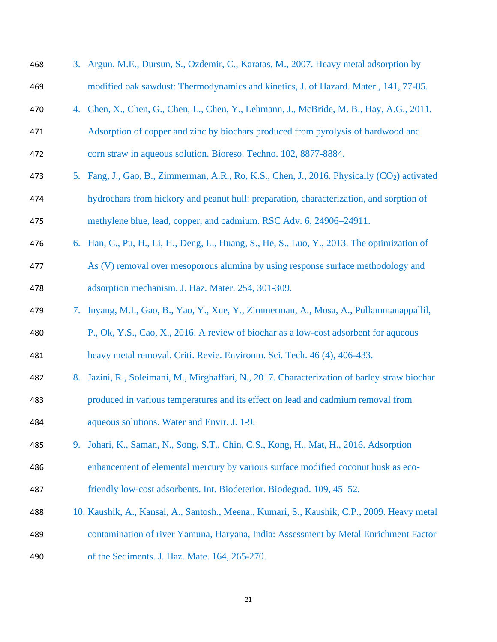| 468 |    | 3. Argun, M.E., Dursun, S., Ozdemir, C., Karatas, M., 2007. Heavy metal adsorption by                    |
|-----|----|----------------------------------------------------------------------------------------------------------|
| 469 |    | modified oak sawdust: Thermodynamics and kinetics, J. of Hazard. Mater., 141, 77-85.                     |
| 470 |    | 4. Chen, X., Chen, G., Chen, L., Chen, Y., Lehmann, J., McBride, M. B., Hay, A.G., 2011.                 |
| 471 |    | Adsorption of copper and zinc by biochars produced from pyrolysis of hardwood and                        |
| 472 |    | corn straw in aqueous solution. Bioreso. Techno. 102, 8877-8884.                                         |
| 473 |    | 5. Fang, J., Gao, B., Zimmerman, A.R., Ro, K.S., Chen, J., 2016. Physically (CO <sub>2</sub> ) activated |
| 474 |    | hydrochars from hickory and peanut hull: preparation, characterization, and sorption of                  |
| 475 |    | methylene blue, lead, copper, and cadmium. RSC Adv. 6, 24906–24911.                                      |
| 476 |    | 6. Han, C., Pu, H., Li, H., Deng, L., Huang, S., He, S., Luo, Y., 2013. The optimization of              |
| 477 |    | As (V) removal over mesoporous alumina by using response surface methodology and                         |
| 478 |    | adsorption mechanism. J. Haz. Mater. 254, 301-309.                                                       |
| 479 |    | 7. Inyang, M.I., Gao, B., Yao, Y., Xue, Y., Zimmerman, A., Mosa, A., Pullammanappallil,                  |
| 480 |    | P., Ok, Y.S., Cao, X., 2016. A review of biochar as a low-cost adsorbent for aqueous                     |
| 481 |    | heavy metal removal. Criti. Revie. Environm. Sci. Tech. 46 (4), 406-433.                                 |
| 482 | 8. | Jazini, R., Soleimani, M., Mirghaffari, N., 2017. Characterization of barley straw biochar               |
| 483 |    | produced in various temperatures and its effect on lead and cadmium removal from                         |
| 484 |    | aqueous solutions. Water and Envir. J. 1-9.                                                              |
| 485 | 9. | Johari, K., Saman, N., Song, S.T., Chin, C.S., Kong, H., Mat, H., 2016. Adsorption                       |
| 486 |    | enhancement of elemental mercury by various surface modified coconut husk as eco-                        |
| 487 |    | friendly low-cost adsorbents. Int. Biodeterior. Biodegrad. 109, 45-52.                                   |
| 488 |    | 10. Kaushik, A., Kansal, A., Santosh., Meena., Kumari, S., Kaushik, C.P., 2009. Heavy metal              |
| 489 |    | contamination of river Yamuna, Haryana, India: Assessment by Metal Enrichment Factor                     |
| 490 |    | of the Sediments. J. Haz. Mate. 164, 265-270.                                                            |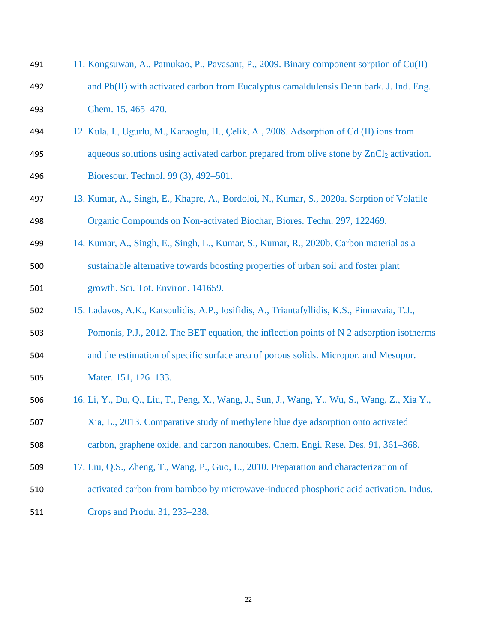| 491 | 11. Kongsuwan, A., Patnukao, P., Pavasant, P., 2009. Binary component sorption of Cu(II)            |
|-----|-----------------------------------------------------------------------------------------------------|
| 492 | and Pb(II) with activated carbon from Eucalyptus camaldulensis Dehn bark. J. Ind. Eng.              |
| 493 | Chem. 15, 465-470.                                                                                  |
| 494 | 12. Kula, I., Ugurlu, M., Karaoglu, H., Çelik, A., 2008. Adsorption of Cd (II) ions from            |
| 495 | aqueous solutions using activated carbon prepared from olive stone by ZnCl <sub>2</sub> activation. |
| 496 | Bioresour. Technol. 99 (3), 492-501.                                                                |
| 497 | 13. Kumar, A., Singh, E., Khapre, A., Bordoloi, N., Kumar, S., 2020a. Sorption of Volatile          |
| 498 | Organic Compounds on Non-activated Biochar, Biores. Techn. 297, 122469.                             |
| 499 | 14. Kumar, A., Singh, E., Singh, L., Kumar, S., Kumar, R., 2020b. Carbon material as a              |
| 500 | sustainable alternative towards boosting properties of urban soil and foster plant                  |
| 501 | growth. Sci. Tot. Environ. 141659.                                                                  |
| 502 | 15. Ladavos, A.K., Katsoulidis, A.P., Iosifidis, A., Triantafyllidis, K.S., Pinnavaia, T.J.,        |
| 503 | Pomonis, P.J., 2012. The BET equation, the inflection points of N 2 adsorption isotherms            |
| 504 | and the estimation of specific surface area of porous solids. Micropor. and Mesopor.                |
| 505 | Mater. 151, 126-133.                                                                                |
| 506 | 16. Li, Y., Du, Q., Liu, T., Peng, X., Wang, J., Sun, J., Wang, Y., Wu, S., Wang, Z., Xia Y.,       |
| 507 | Xia, L., 2013. Comparative study of methylene blue dye adsorption onto activated                    |
| 508 | carbon, graphene oxide, and carbon nanotubes. Chem. Engi. Rese. Des. 91, 361–368.                   |
| 509 | 17. Liu, Q.S., Zheng, T., Wang, P., Guo, L., 2010. Preparation and characterization of              |
| 510 | activated carbon from bamboo by microwave-induced phosphoric acid activation. Indus.                |
| 511 | Crops and Produ. 31, 233–238.                                                                       |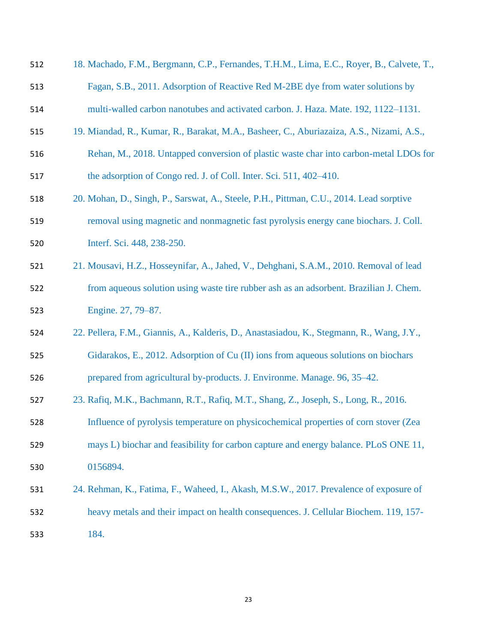| 512 | 18. Machado, F.M., Bergmann, C.P., Fernandes, T.H.M., Lima, E.C., Royer, B., Calvete, T., |
|-----|-------------------------------------------------------------------------------------------|
| 513 | Fagan, S.B., 2011. Adsorption of Reactive Red M-2BE dye from water solutions by           |
| 514 | multi-walled carbon nanotubes and activated carbon. J. Haza. Mate. 192, 1122-1131.        |
| 515 | 19. Miandad, R., Kumar, R., Barakat, M.A., Basheer, C., Aburiazaiza, A.S., Nizami, A.S.,  |
| 516 | Rehan, M., 2018. Untapped conversion of plastic waste char into carbon-metal LDOs for     |
| 517 | the adsorption of Congo red. J. of Coll. Inter. Sci. 511, 402–410.                        |
| 518 | 20. Mohan, D., Singh, P., Sarswat, A., Steele, P.H., Pittman, C.U., 2014. Lead sorptive   |
| 519 | removal using magnetic and nonmagnetic fast pyrolysis energy cane biochars. J. Coll.      |
| 520 | Interf. Sci. 448, 238-250.                                                                |
| 521 | 21. Mousavi, H.Z., Hosseynifar, A., Jahed, V., Dehghani, S.A.M., 2010. Removal of lead    |
| 522 | from aqueous solution using waste tire rubber ash as an adsorbent. Brazilian J. Chem.     |
| 523 | Engine. 27, 79-87.                                                                        |
| 524 | 22. Pellera, F.M., Giannis, A., Kalderis, D., Anastasiadou, K., Stegmann, R., Wang, J.Y., |
| 525 | Gidarakos, E., 2012. Adsorption of Cu (II) ions from aqueous solutions on biochars        |
| 526 | prepared from agricultural by-products. J. Environme. Manage. 96, 35–42.                  |
| 527 | 23. Rafiq, M.K., Bachmann, R.T., Rafiq, M.T., Shang, Z., Joseph, S., Long, R., 2016.      |
| 528 | Influence of pyrolysis temperature on physicochemical properties of corn stover (Zea      |
| 529 | mays L) biochar and feasibility for carbon capture and energy balance. PLoS ONE 11,       |
| 530 | 0156894.                                                                                  |
| 531 | 24. Rehman, K., Fatima, F., Waheed, I., Akash, M.S.W., 2017. Prevalence of exposure of    |
| 532 | heavy metals and their impact on health consequences. J. Cellular Biochem. 119, 157-      |
| 533 | 184.                                                                                      |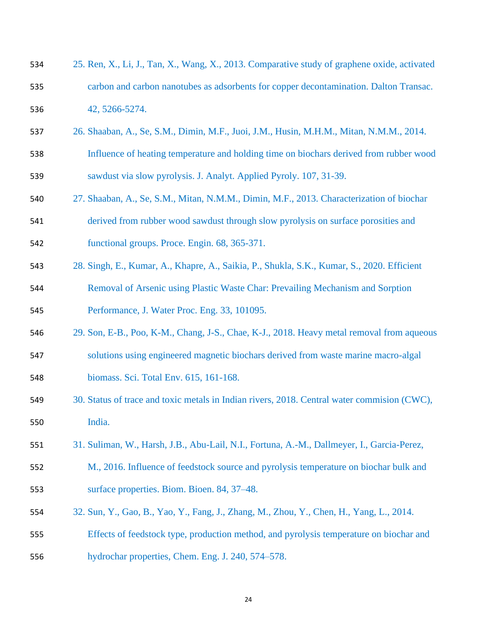| 534 | 25. Ren, X., Li, J., Tan, X., Wang, X., 2013. Comparative study of graphene oxide, activated |
|-----|----------------------------------------------------------------------------------------------|
| 535 | carbon and carbon nanotubes as adsorbents for copper decontamination. Dalton Transac.        |
| 536 | 42, 5266-5274.                                                                               |
| 537 | 26. Shaaban, A., Se, S.M., Dimin, M.F., Juoi, J.M., Husin, M.H.M., Mitan, N.M.M., 2014.      |
| 538 | Influence of heating temperature and holding time on biochars derived from rubber wood       |
| 539 | sawdust via slow pyrolysis. J. Analyt. Applied Pyroly. 107, 31-39.                           |
| 540 | 27. Shaaban, A., Se, S.M., Mitan, N.M.M., Dimin, M.F., 2013. Characterization of biochar     |
| 541 | derived from rubber wood sawdust through slow pyrolysis on surface porosities and            |
| 542 | functional groups. Proce. Engin. 68, 365-371.                                                |
| 543 | 28. Singh, E., Kumar, A., Khapre, A., Saikia, P., Shukla, S.K., Kumar, S., 2020. Efficient   |
| 544 | Removal of Arsenic using Plastic Waste Char: Prevailing Mechanism and Sorption               |
| 545 | Performance, J. Water Proc. Eng. 33, 101095.                                                 |
| 546 | 29. Son, E-B., Poo, K-M., Chang, J-S., Chae, K-J., 2018. Heavy metal removal from aqueous    |
| 547 | solutions using engineered magnetic biochars derived from waste marine macro-algal           |
| 548 | biomass. Sci. Total Env. 615, 161-168.                                                       |
| 549 | 30. Status of trace and toxic metals in Indian rivers, 2018. Central water commision (CWC),  |
| 550 | India.                                                                                       |
| 551 | 31. Suliman, W., Harsh, J.B., Abu-Lail, N.I., Fortuna, A.-M., Dallmeyer, I., Garcia-Perez,   |
| 552 | M., 2016. Influence of feedstock source and pyrolysis temperature on biochar bulk and        |
| 553 | surface properties. Biom. Bioen. 84, 37-48.                                                  |
| 554 | 32. Sun, Y., Gao, B., Yao, Y., Fang, J., Zhang, M., Zhou, Y., Chen, H., Yang, L., 2014.      |
| 555 | Effects of feedstock type, production method, and pyrolysis temperature on biochar and       |
| 556 | hydrochar properties, Chem. Eng. J. 240, 574–578.                                            |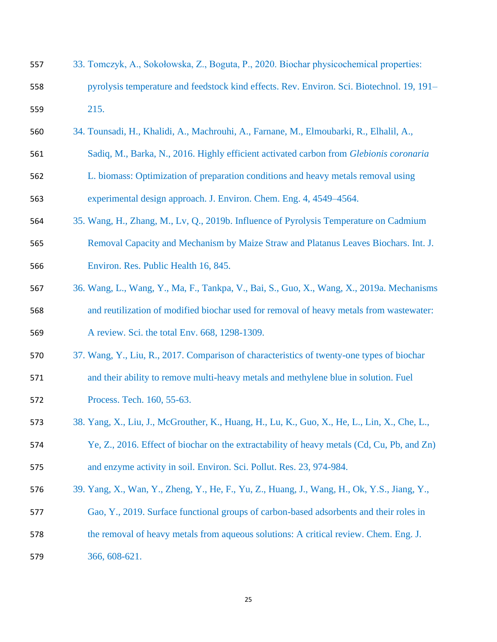| 557 | 33. Tomczyk, A., Sokołowska, Z., Boguta, P., 2020. Biochar physicochemical properties:       |
|-----|----------------------------------------------------------------------------------------------|
| 558 | pyrolysis temperature and feedstock kind effects. Rev. Environ. Sci. Biotechnol. 19, 191–    |
| 559 | 215.                                                                                         |
| 560 | 34. Tounsadi, H., Khalidi, A., Machrouhi, A., Farnane, M., Elmoubarki, R., Elhalil, A.,      |
| 561 | Sadiq, M., Barka, N., 2016. Highly efficient activated carbon from Glebionis coronaria       |
| 562 | L. biomass: Optimization of preparation conditions and heavy metals removal using            |
| 563 | experimental design approach. J. Environ. Chem. Eng. 4, 4549–4564.                           |
| 564 | 35. Wang, H., Zhang, M., Lv, Q., 2019b. Influence of Pyrolysis Temperature on Cadmium        |
| 565 | Removal Capacity and Mechanism by Maize Straw and Platanus Leaves Biochars. Int. J.          |
| 566 | Environ. Res. Public Health 16, 845.                                                         |
| 567 | 36. Wang, L., Wang, Y., Ma, F., Tankpa, V., Bai, S., Guo, X., Wang, X., 2019a. Mechanisms    |
| 568 | and reutilization of modified biochar used for removal of heavy metals from wastewater:      |
| 569 | A review. Sci. the total Env. 668, 1298-1309.                                                |
| 570 | 37. Wang, Y., Liu, R., 2017. Comparison of characteristics of twenty-one types of biochar    |
| 571 | and their ability to remove multi-heavy metals and methylene blue in solution. Fuel          |
| 572 | Process. Tech. 160, 55-63.                                                                   |
| 573 | 38. Yang, X., Liu, J., McGrouther, K., Huang, H., Lu, K., Guo, X., He, L., Lin, X., Che, L., |
| 574 | Ye, Z., 2016. Effect of biochar on the extractability of heavy metals (Cd, Cu, Pb, and Zn)   |
| 575 | and enzyme activity in soil. Environ. Sci. Pollut. Res. 23, 974-984.                         |
| 576 | 39. Yang, X., Wan, Y., Zheng, Y., He, F., Yu, Z., Huang, J., Wang, H., Ok, Y.S., Jiang, Y.,  |
| 577 | Gao, Y., 2019. Surface functional groups of carbon-based adsorbents and their roles in       |
| 578 | the removal of heavy metals from aqueous solutions: A critical review. Chem. Eng. J.         |
| 579 | 366, 608-621.                                                                                |